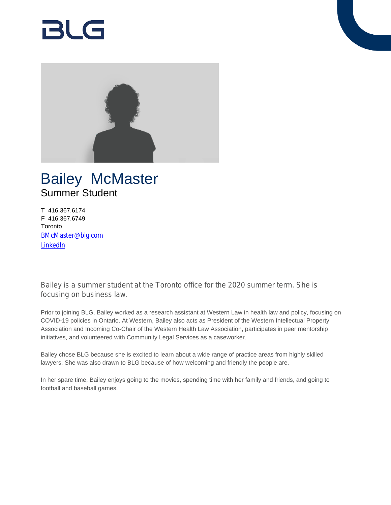# RI G



## Bailey McMaster Summer Student

T 416.367.6174 F 416.367.6749 **Toronto** [BMcMaster@blg.com](mailto:BMcMaster@blg.com) [LinkedIn](https://www.linkedin.com/in/baileymcmaster/)

Bailey is a summer student at the Toronto office for the 2020 summer term. She is focusing on business law.

Prior to joining BLG, Bailey worked as a research assistant at Western Law in health law and policy, focusing on COVID-19 policies in Ontario. At Western, Bailey also acts as President of the Western Intellectual Property Association and Incoming Co-Chair of the Western Health Law Association, participates in peer mentorship initiatives, and volunteered with Community Legal Services as a caseworker.

Bailey chose BLG because she is excited to learn about a wide range of practice areas from highly skilled lawyers. She was also drawn to BLG because of how welcoming and friendly the people are.

In her spare time, Bailey enjoys going to the movies, spending time with her family and friends, and going to football and baseball games.